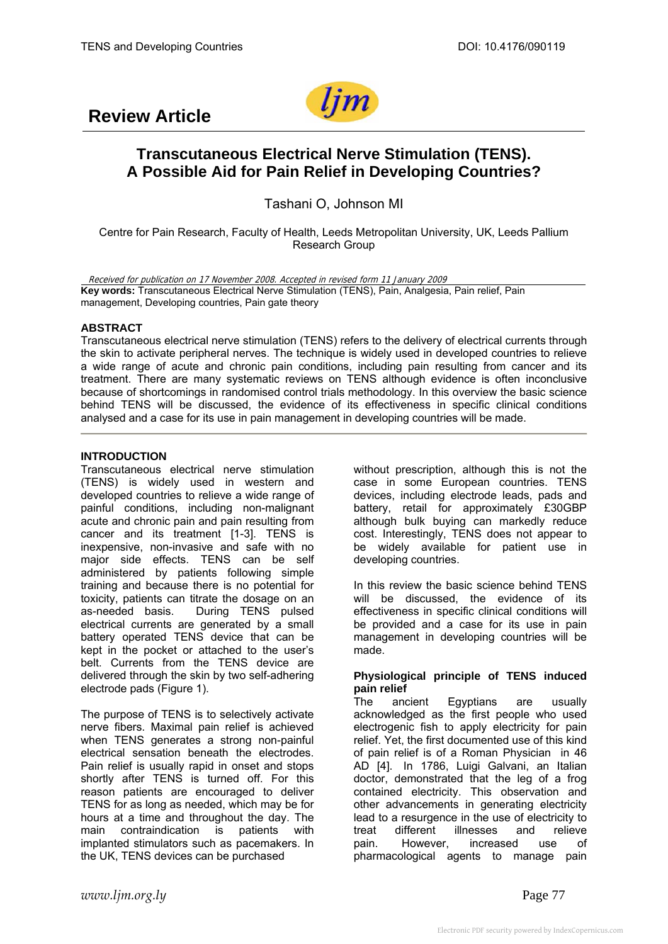



# **Transcutaneous Electrical Nerve Stimulation (TENS). A Possible Aid for Pain Relief in Developing Countries?**

Tashani O, Johnson MI

Centre for Pain Research, Faculty of Health, Leeds Metropolitan University, UK, Leeds Pallium Research Group

Received for publication on 17 November 2008. Accepted in revised form 11 January 2009 **Key words:** Transcutaneous Electrical Nerve Stimulation (TENS), Pain, Analgesia, Pain relief, Pain management, Developing countries, Pain gate theory

### **ABSTRACT**

Transcutaneous electrical nerve stimulation (TENS) refers to the delivery of electrical currents through the skin to activate peripheral nerves. The technique is widely used in developed countries to relieve a wide range of acute and chronic pain conditions, including pain resulting from cancer and its treatment. There are many systematic reviews on TENS although evidence is often inconclusive because of shortcomings in randomised control trials methodology. In this overview the basic science behind TENS will be discussed, the evidence of its effectiveness in specific clinical conditions analysed and a case for its use in pain management in developing countries will be made.

### **INTRODUCTION**

Transcutaneous electrical nerve stimulation (TENS) is widely used in western and developed countries to relieve a wide range of painful conditions, including non-malignant acute and chronic pain and pain resulting from cancer and its treatment [1-3]. TENS is inexpensive, non-invasive and safe with no major side effects. TENS can be self administered by patients following simple training and because there is no potential for toxicity, patients can titrate the dosage on an as-needed basis. During TENS pulsed electrical currents are generated by a small battery operated TENS device that can be kept in the pocket or attached to the user's belt. Currents from the TENS device are delivered through the skin by two self-adhering electrode pads (Figure 1).

The purpose of TENS is to selectively activate nerve fibers. Maximal pain relief is achieved when TENS generates a strong non-painful electrical sensation beneath the electrodes. Pain relief is usually rapid in onset and stops shortly after TENS is turned off. For this reason patients are encouraged to deliver TENS for as long as needed, which may be for hours at a time and throughout the day. The main contraindication is patients with implanted stimulators such as pacemakers. In the UK, TENS devices can be purchased

without prescription, although this is not the case in some European countries. TENS devices, including electrode leads, pads and battery, retail for approximately £30GBP although bulk buying can markedly reduce cost. Interestingly, TENS does not appear to be widely available for patient use in developing countries.

In this review the basic science behind TENS will be discussed, the evidence of its effectiveness in specific clinical conditions will be provided and a case for its use in pain management in developing countries will be made.

### **Physiological principle of TENS induced pain relief**

The ancient Egyptians are usually acknowledged as the first people who used electrogenic fish to apply electricity for pain relief. Yet, the first documented use of this kind of pain relief is of a Roman Physician in 46 AD [4]. In 1786, Luigi Galvani, an Italian doctor, demonstrated that the leg of a frog contained electricity. This observation and other advancements in generating electricity lead to a resurgence in the use of electricity to treat different illnesses and relieve pain. However, increased use of pharmacological agents to manage pain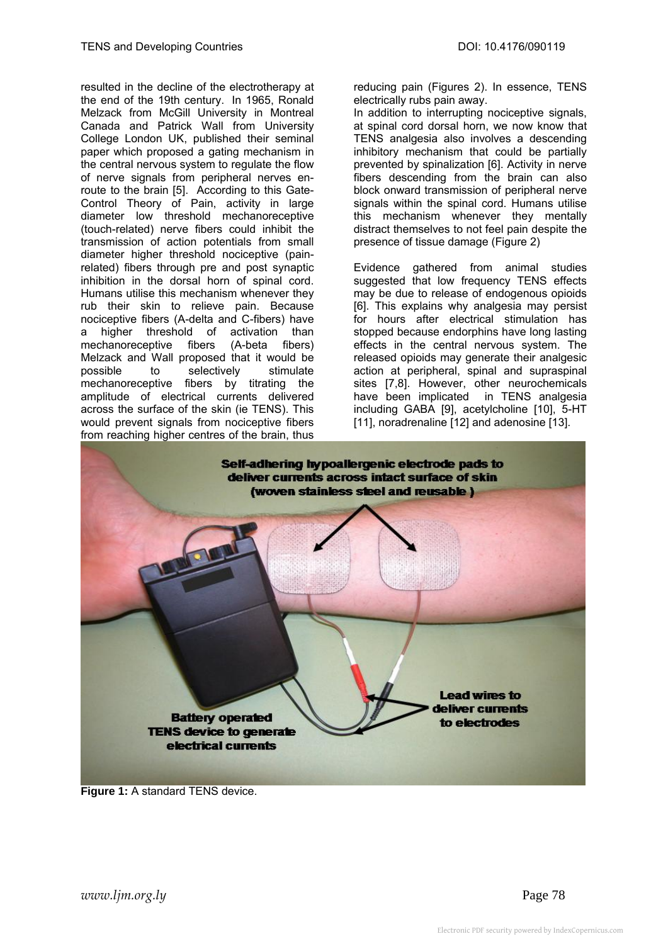resulted in the decline of the electrotherapy at the end of the 19th century. In 1965, Ronald Melzack from McGill University in Montreal Canada and Patrick Wall from University College London UK, published their seminal paper which proposed a gating mechanism in the central nervous system to regulate the flow of nerve signals from peripheral nerves enroute to the brain [5]. According to this Gate-Control Theory of Pain, activity in large diameter low threshold mechanoreceptive (touch-related) nerve fibers could inhibit the transmission of action potentials from small diameter higher threshold nociceptive (painrelated) fibers through pre and post synaptic inhibition in the dorsal horn of spinal cord. Humans utilise this mechanism whenever they rub their skin to relieve pain. Because nociceptive fibers (A-delta and C-fibers) have a higher threshold of activation than mechanoreceptive fibers (A-beta fibers) Melzack and Wall proposed that it would be possible to selectively stimulate mechanoreceptive fibers by titrating the amplitude of electrical currents delivered across the surface of the skin (ie TENS). This would prevent signals from nociceptive fibers from reaching higher centres of the brain, thus

reducing pain (Figures 2). In essence, TENS electrically rubs pain away.

In addition to interrupting nociceptive signals, at spinal cord dorsal horn, we now know that TENS analgesia also involves a descending inhibitory mechanism that could be partially prevented by spinalization [6]. Activity in nerve fibers descending from the brain can also block onward transmission of peripheral nerve signals within the spinal cord. Humans utilise this mechanism whenever they mentally distract themselves to not feel pain despite the presence of tissue damage (Figure 2)

Evidence gathered from animal studies suggested that low frequency TENS effects may be due to release of endogenous opioids [6]. This explains why analgesia may persist for hours after electrical stimulation has stopped because endorphins have long lasting effects in the central nervous system. The released opioids may generate their analgesic action at peripheral, spinal and supraspinal sites [7,8]. However, other neurochemicals have been implicated in TENS analgesia including GABA [9], acetylcholine [10], 5-HT [11], noradrenaline [12] and adenosine [13].



**Figure 1:** A standard TENS device.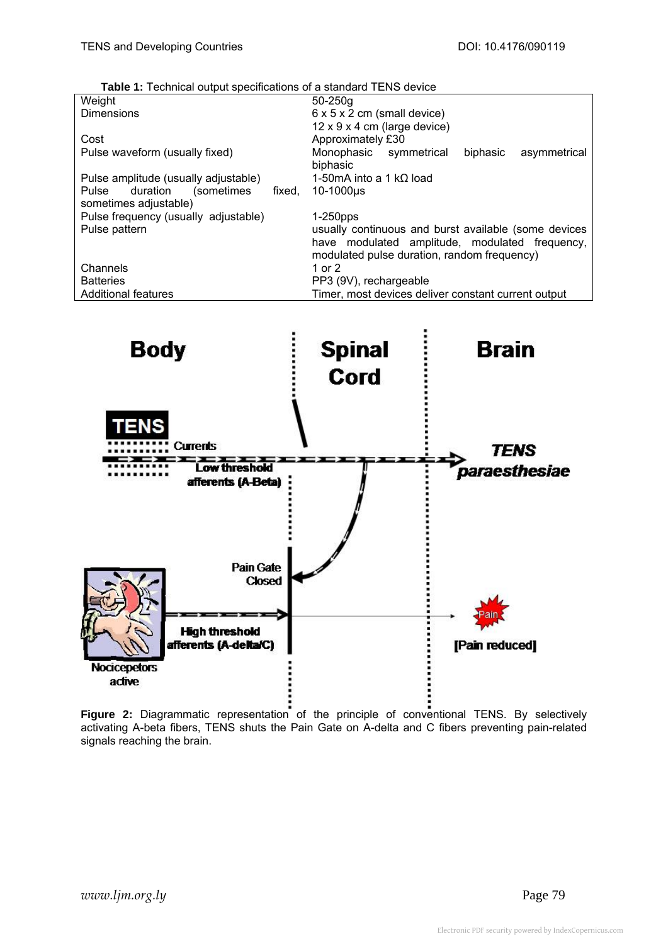**Table 1:** Technical output specifications of a standard TENS device

| Weight                                 | $50 - 250g$                                          |  |  |  |
|----------------------------------------|------------------------------------------------------|--|--|--|
| <b>Dimensions</b>                      | $6 \times 5 \times 2$ cm (small device)              |  |  |  |
|                                        | $12 \times 9 \times 4$ cm (large device)             |  |  |  |
| Cost                                   | Approximately £30                                    |  |  |  |
| Pulse waveform (usually fixed)         | Monophasic symmetrical<br>asymmetrical<br>biphasic   |  |  |  |
|                                        | biphasic                                             |  |  |  |
| Pulse amplitude (usually adjustable)   | 1-50mA into a 1 $k\Omega$ load                       |  |  |  |
| Pulse duration<br>(sometimes<br>fixed, | 10-1000us                                            |  |  |  |
| sometimes adjustable)                  |                                                      |  |  |  |
| Pulse frequency (usually adjustable)   | $1-250$ pps                                          |  |  |  |
| Pulse pattern                          | usually continuous and burst available (some devices |  |  |  |
|                                        | have modulated amplitude, modulated frequency,       |  |  |  |
|                                        | modulated pulse duration, random frequency)          |  |  |  |
| Channels                               | 1 or $2$                                             |  |  |  |
| <b>Batteries</b>                       | PP3 (9V), rechargeable                               |  |  |  |
| <b>Additional features</b>             | Timer, most devices deliver constant current output  |  |  |  |



**Figure 2:** Diagrammatic representation of the principle of conventional TENS. By selectively activating A-beta fibers, TENS shuts the Pain Gate on A-delta and C fibers preventing pain-related signals reaching the brain.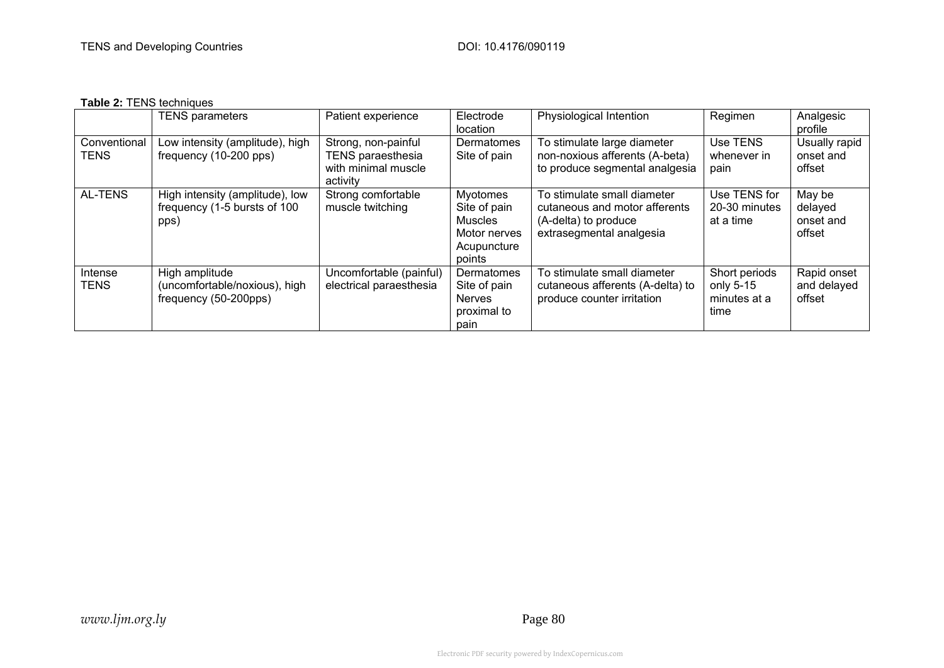**Table 2:** TENS techniques

|                        | <b>TENS parameters</b>                                                   | Patient experience                                                                 | Electrode<br>location                                                               | Physiological Intention                                                                                          | Regimen                                            | Analgesic<br>profile                     |
|------------------------|--------------------------------------------------------------------------|------------------------------------------------------------------------------------|-------------------------------------------------------------------------------------|------------------------------------------------------------------------------------------------------------------|----------------------------------------------------|------------------------------------------|
| Conventional<br>TENS   | Low intensity (amplitude), high<br>frequency (10-200 pps)                | Strong, non-painful<br><b>TENS paraesthesia</b><br>with minimal muscle<br>activity | Dermatomes<br>Site of pain                                                          | To stimulate large diameter<br>non-noxious afferents (A-beta)<br>to produce segmental analgesia                  | Use TENS<br>whenever in<br>pain                    | Usually rapid<br>onset and<br>offset     |
| <b>AL-TENS</b>         | High intensity (amplitude), low<br>frequency (1-5 bursts of 100<br>pps)  | Strong comfortable<br>muscle twitching                                             | <b>Myotomes</b><br>Site of pain<br>Muscles<br>Motor nerves<br>Acupuncture<br>points | To stimulate small diameter<br>cutaneous and motor afferents<br>(A-delta) to produce<br>extrasegmental analgesia | Use TENS for<br>20-30 minutes<br>at a time         | May be<br>delayed<br>onset and<br>offset |
| Intense<br><b>TENS</b> | High amplitude<br>(uncomfortable/noxious), high<br>frequency (50-200pps) | Uncomfortable (painful)<br>electrical paraesthesia                                 | Dermatomes<br>Site of pain<br><b>Nerves</b><br>proximal to<br>pain                  | To stimulate small diameter<br>cutaneous afferents (A-delta) to<br>produce counter irritation                    | Short periods<br>only 5-15<br>minutes at a<br>time | Rapid onset<br>and delayed<br>offset     |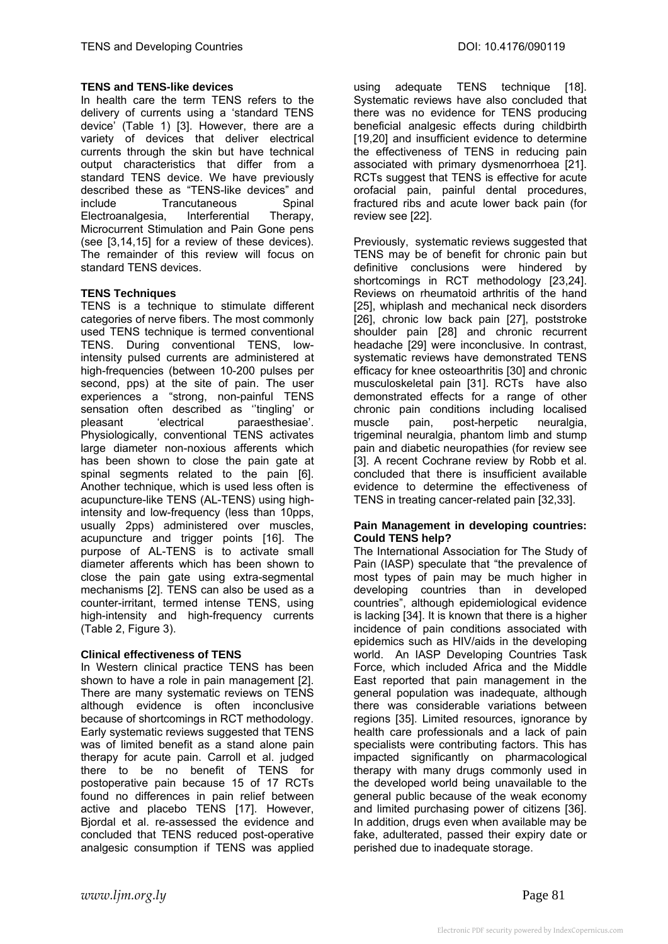# **TENS and TENS-like devices**

In health care the term TENS refers to the delivery of currents using a 'standard TENS device' (Table 1) [3]. However, there are a variety of devices that deliver electrical currents through the skin but have technical output characteristics that differ from a standard TENS device. We have previously described these as "TENS-like devices" and include Trancutaneous Spinal Electroanalgesia, Interferential Therapy, Microcurrent Stimulation and Pain Gone pens (see [3,14,15] for a review of these devices). The remainder of this review will focus on standard TENS devices.

## **TENS Techniques**

TENS is a technique to stimulate different categories of nerve fibers. The most commonly used TENS technique is termed conventional TENS. During conventional TENS, lowintensity pulsed currents are administered at high-frequencies (between 10-200 pulses per second, pps) at the site of pain. The user experiences a "strong, non-painful TENS sensation often described as "tingling' or<br>pleasant the 'electrical baraesthesiae'. 'electrical paraesthesiae'. Physiologically, conventional TENS activates large diameter non-noxious afferents which has been shown to close the pain gate at spinal segments related to the pain [6]. Another technique, which is used less often is acupuncture-like TENS (AL-TENS) using highintensity and low-frequency (less than 10pps, usually 2pps) administered over muscles, acupuncture and trigger points [16]. The purpose of AL-TENS is to activate small diameter afferents which has been shown to close the pain gate using extra-segmental mechanisms [2]. TENS can also be used as a counter-irritant, termed intense TENS, using high-intensity and high-frequency currents (Table 2, Figure 3).

## **Clinical effectiveness of TENS**

In Western clinical practice TENS has been shown to have a role in pain management [2]. There are many systematic reviews on TENS although evidence is often inconclusive because of shortcomings in RCT methodology. Early systematic reviews suggested that TENS was of limited benefit as a stand alone pain therapy for acute pain. Carroll et al. judged there to be no benefit of TENS for postoperative pain because 15 of 17 RCTs found no differences in pain relief between active and placebo TENS [17]. However, Bjordal et al. re-assessed the evidence and concluded that TENS reduced post-operative analgesic consumption if TENS was applied

using adequate TENS technique [18]. Systematic reviews have also concluded that there was no evidence for TENS producing beneficial analgesic effects during childbirth [19,20] and insufficient evidence to determine the effectiveness of TENS in reducing pain associated with primary dysmenorrhoea [21]. RCTs suggest that TENS is effective for acute orofacial pain, painful dental procedures, fractured ribs and acute lower back pain (for review see [22].

Previously, systematic reviews suggested that TENS may be of benefit for chronic pain but definitive conclusions were hindered by shortcomings in RCT methodology [23,24]. Reviews on rheumatoid arthritis of the hand [25], whiplash and mechanical neck disorders [26], chronic low back pain [27], poststroke shoulder pain [28] and chronic recurrent headache [29] were inconclusive. In contrast, systematic reviews have demonstrated TENS efficacy for knee osteoarthritis [30] and chronic musculoskeletal pain [31]. RCTs have also demonstrated effects for a range of other chronic pain conditions including localised<br>muscle pain, post-herpetic neuralgia. muscle pain, post-herpetic trigeminal neuralgia, phantom limb and stump pain and diabetic neuropathies (for review see [3]. A recent Cochrane review by Robb et al. concluded that there is insufficient available evidence to determine the effectiveness of TENS in treating cancer-related pain [32,33].

### **Pain Management in developing countries: Could TENS help?**

The International Association for The Study of Pain (IASP) speculate that "the prevalence of most types of pain may be much higher in developing countries than in developed countries", although epidemiological evidence is lacking [34]. It is known that there is a higher incidence of pain conditions associated with epidemics such as HIV/aids in the developing world. An IASP Developing Countries Task Force, which included Africa and the Middle East reported that pain management in the general population was inadequate, although there was considerable variations between regions [35]. Limited resources, ignorance by health care professionals and a lack of pain specialists were contributing factors. This has impacted significantly on pharmacological therapy with many drugs commonly used in the developed world being unavailable to the general public because of the weak economy and limited purchasing power of citizens [36]. In addition, drugs even when available may be fake, adulterated, passed their expiry date or perished due to inadequate storage.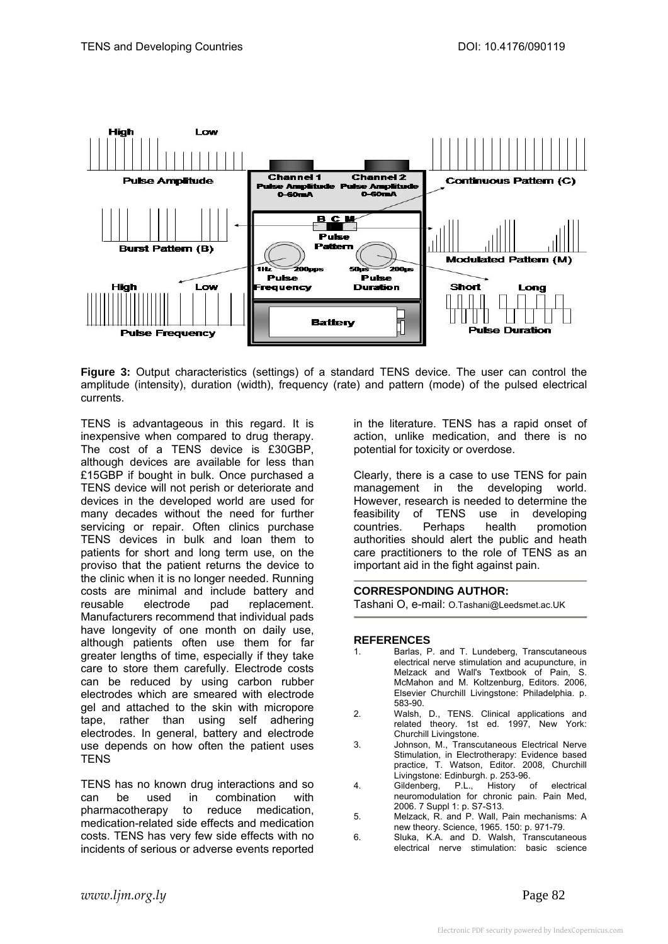

**Figure 3:** Output characteristics (settings) of a standard TENS device. The user can control the amplitude (intensity), duration (width), frequency (rate) and pattern (mode) of the pulsed electrical currents.

TENS is advantageous in this regard. It is inexpensive when compared to drug therapy. The cost of a TENS device is £30GBP, although devices are available for less than £15GBP if bought in bulk. Once purchased a TENS device will not perish or deteriorate and devices in the developed world are used for many decades without the need for further servicing or repair. Often clinics purchase TENS devices in bulk and loan them to patients for short and long term use, on the proviso that the patient returns the device to the clinic when it is no longer needed. Running costs are minimal and include battery and reusable electrode pad replacement. Manufacturers recommend that individual pads have longevity of one month on daily use, although patients often use them for far greater lengths of time, especially if they take care to store them carefully. Electrode costs can be reduced by using carbon rubber electrodes which are smeared with electrode gel and attached to the skin with micropore tape, rather than using self adhering electrodes. In general, battery and electrode use depends on how often the patient uses **TENS** 

TENS has no known drug interactions and so can be used in combination with pharmacotherapy to reduce medication, medication-related side effects and medication costs. TENS has very few side effects with no incidents of serious or adverse events reported

in the literature. TENS has a rapid onset of action, unlike medication, and there is no potential for toxicity or overdose.

Clearly, there is a case to use TENS for pain management in the developing world. However, research is needed to determine the feasibility of TENS use in developing countries. Perhaps health promotion authorities should alert the public and heath care practitioners to the role of TENS as an important aid in the fight against pain.

### **CORRESPONDING AUTHOR:**

Tashani O, e-mail: O.Tashani@Leedsmet.ac.UK

#### **REFERENCES**

- 1. Barlas, P. and T. Lundeberg, Transcutaneous electrical nerve stimulation and acupuncture, in Melzack and Wall's Textbook of Pain, S. McMahon and M. Koltzenburg, Editors. 2006, Elsevier Churchill Livingstone: Philadelphia. p. 583-90.
- 2. Walsh, D., TENS. Clinical applications and related theory. 1st ed. 1997, New York: Churchill Livingstone.
- 3. Johnson, M., Transcutaneous Electrical Nerve Stimulation, in Electrotherapy: Evidence based practice, T. Watson, Editor. 2008, Churchill
- Livingstone: Edinburgh. p. 253-96.<br>Gildenberg, P.L., History 4. Gildenberg, P.L., History of electrical neuromodulation for chronic pain. Pain Med, 2006. 7 Suppl 1: p. S7-S13.
- 5. Melzack, R. and P. Wall, Pain mechanisms: A new theory. Science, 1965. 150: p. 971-79.
- 6. Sluka, K.A. and D. Walsh, Transcutaneous electrical nerve stimulation: basic science